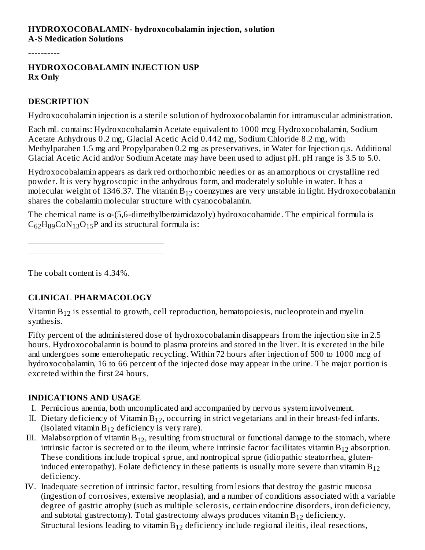### **HYDROXOCOBALAMIN- hydroxocobalamin injection, solution A-S Medication Solutions**

----------

#### **HYDROXOCOBALAMIN INJECTION USP Rx Only**

#### **DESCRIPTION**

Hydroxocobalamin injection is a sterile solution of hydroxocobalamin for intramuscular administration.

Each mL contains: Hydroxocobalamin Acetate equivalent to 1000 mcg Hydroxocobalamin, Sodium Acetate Anhydrous 0.2 mg, Glacial Acetic Acid 0.442 mg, Sodium Chloride 8.2 mg, with Methylparaben 1.5 mg and Propylparaben 0.2 mg as preservatives, in Water for Injection q.s. Additional Glacial Acetic Acid and/or Sodium Acetate may have been used to adjust pH. pH range is 3.5 to 5.0.

Hydroxocobalamin appears as dark red orthorhombic needles or as an amorphous or crystalline red powder. It is very hygroscopic in the anhydrous form, and moderately soluble in water. It has a molecular weight of 1346.37. The vitamin  $\rm B_{12}$  coenzymes are very unstable in light. Hydroxocobalamin shares the cobalamin molecular structure with cyanocobalamin.

The chemical name is α-(5,6-dimethylbenzimidazoly) hydroxocobamide. The empirical formula is  $C_{62}H_{89}CoN_{13}O_{15}P$  and its structural formula is:

The cobalt content is 4.34%.

#### **CLINICAL PHARMACOLOGY**

Vitamin  $\rm B_{12}$  is essential to growth, cell reproduction, hematopoiesis, nucleoprotein and myelin synthesis.

Fifty percent of the administered dose of hydroxocobalamin disappears from the injection site in 2.5 hours. Hydroxocobalamin is bound to plasma proteins and stored in the liver. It is excreted in the bile and undergoes some enterohepatic recycling. Within 72 hours after injection of 500 to 1000 mcg of hydroxocobalamin, 16 to 66 percent of the injected dose may appear in the urine. The major portion is excreted within the first 24 hours.

#### **INDICATIONS AND USAGE**

- I. Pernicious anemia, both uncomplicated and accompanied by nervous system involvement.
- II. Dietary deficiency of Vitamin  $B_{12}$ , occurring in strict vegetarians and in their breast-fed infants. (Isolated vitamin  $B_{12}$  deficiency is very rare).
- III. Malabsorption of vitamin  $B_{12}$ , resulting from structural or functional damage to the stomach, where intrinsic factor is secreted or to the ileum, where intrinsic factor facilitates vitamin  $\rm B_{12}$  absorption. These conditions include tropical sprue, and nontropical sprue (idiopathic steatorrhea, gluteninduced enteropathy). Folate deficiency in these patients is usually more severe than vitamin  $\rm B_{12}$ deficiency.
- IV. Inadequate secretion of intrinsic factor, resulting from lesions that destroy the gastric mucosa (ingestion of corrosives, extensive neoplasia), and a number of conditions associated with a variable degree of gastric atrophy (such as multiple sclerosis, certain endocrine disorders, iron deficiency, and subtotal gastrectomy). Total gastrectomy always produces vitamin  $\rm B_{12}$  deficiency. Structural lesions leading to vitamin  $B_{12}$  deficiency include regional ileitis, ileal resections,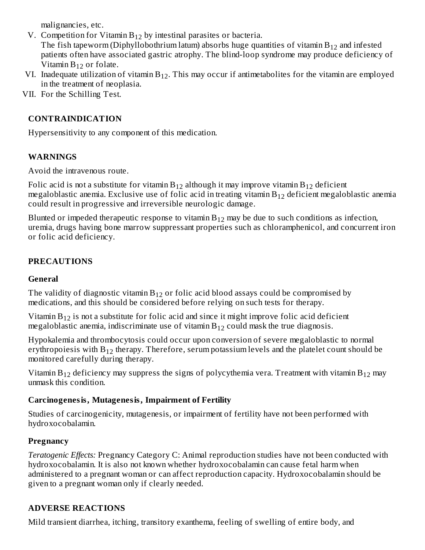malignancies, etc.

V. Competition for Vitamin  $B_{12}$  by intestinal parasites or bacteria. The fish tapeworm (Diphyllobothrium latum) absorbs huge quantities of vitamin  $\rm B_{12}$  and infested patients often have associated gastric atrophy. The blind-loop syndrome may produce deficiency of

 $12$ 

- Vitamin  $B_{12}$  or folate. VI. Inadequate utilization of vitamin  $B_{12}$ . This may occur if antimetabolites for the vitamin are employed in the treatment of neoplasia.
- VII. For the Schilling Test.

## **CONTRAINDICATION**

Hypersensitivity to any component of this medication.

## **WARNINGS**

Avoid the intravenous route.

Folic acid is not a substitute for vitamin  $\rm B_{12}$  although it may improve vitamin  $\rm B_{12}$  deficient megaloblastic anemia. Exclusive use of folic acid in treating vitamin  $\mathrm{B}_{12}$  deficient megaloblastic anemia could result in progressive and irreversible neurologic damage.

Blunted or impeded therapeutic response to vitamin  $\mathrm{B}_{12}$  may be due to such conditions as infection, uremia, drugs having bone marrow suppressant properties such as chloramphenicol, and concurrent iron or folic acid deficiency.

## **PRECAUTIONS**

#### **General**

The validity of diagnostic vitamin  $B_{12}$  or folic acid blood assays could be compromised by medications, and this should be considered before relying on such tests for therapy.

Vitamin  $B_{12}$  is not a substitute for folic acid and since it might improve folic acid deficient megaloblastic anemia, indiscriminate use of vitamin  $B_{12}$  could mask the true diagnosis.

Hypokalemia and thrombocytosis could occur upon conversion of severe megaloblastic to normal erythropoiesis with  $\rm B_{12}$  therapy. Therefore, serum potassium levels and the platelet count should be monitored carefully during therapy.

Vitamin  $B_{12}$  deficiency may suppress the signs of polycythemia vera. Treatment with vitamin  $B_{12}$  may unmask this condition.

#### **Carcinogenesis, Mutagenesis, Impairment of Fertility**

Studies of carcinogenicity, mutagenesis, or impairment of fertility have not been performed with hydroxocobalamin.

## **Pregnancy**

*Teratogenic Effects:* Pregnancy Category C: Animal reproduction studies have not been conducted with hydroxocobalamin. It is also not known whether hydroxocobalamin can cause fetal harm when administered to a pregnant woman or can affect reproduction capacity. Hydroxocobalamin should be given to a pregnant woman only if clearly needed.

## **ADVERSE REACTIONS**

Mild transient diarrhea, itching, transitory exanthema, feeling of swelling of entire body, and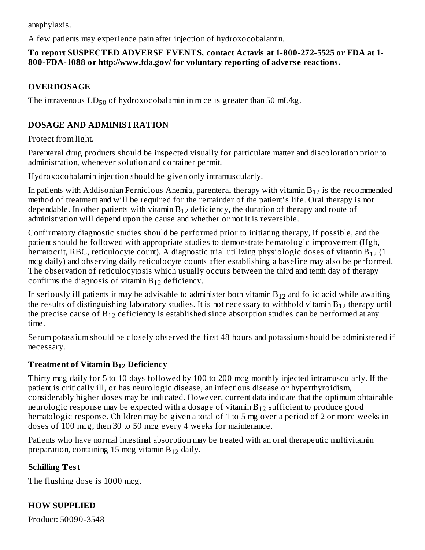anaphylaxis.

A few patients may experience pain after injection of hydroxocobalamin.

### **To report SUSPECTED ADVERSE EVENTS, contact Actavis at 1-800-272-5525 or FDA at 1- 800-FDA-1088 or http://www.fda.gov/ for voluntary reporting of advers e reactions.**

## **OVERDOSAGE**

The intravenous  $LD_{50}$  of hydroxocobalamin in mice is greater than 50 mL/kg.

## **DOSAGE AND ADMINISTRATION**

Protect from light.

Parenteral drug products should be inspected visually for particulate matter and discoloration prior to administration, whenever solution and container permit.

Hydroxocobalamin injection should be given only intramuscularly.

In patients with Addisonian Pernicious Anemia, parenteral therapy with vitamin  $\rm B_{12}$  is the recommended method of treatment and will be required for the remainder of the patient's life. Oral therapy is not dependable. In other patients with vitamin  $\mathrm{B}_{12}$  deficiency, the duration of therapy and route of administration will depend upon the cause and whether or not it is reversible.

Confirmatory diagnostic studies should be performed prior to initiating therapy, if possible, and the patient should be followed with appropriate studies to demonstrate hematologic improvement (Hgb, hematocrit, RBC, reticulocyte count). A diagnostic trial utilizing physiologic doses of vitamin B $_{12}$  (1 mcg daily) and observing daily reticulocyte counts after establishing a baseline may also be performed. The observation of reticulocytosis which usually occurs between the third and tenth day of therapy confirms the diagnosis of vitamin  $B_{12}$  deficiency.

In seriously ill patients it may be advisable to administer both vitamin  $\mathrm{B}_{12}$  and folic acid while awaiting the results of distinguishing laboratory studies. It is not necessary to withhold vitamin  $\mathsf{B}_{12}$  therapy until the precise cause of  $\rm B_{12}$  deficiency is established since absorption studies can be performed at any time.

Serum potassium should be closely observed the first 48 hours and potassium should be administered if necessary.

## **Treatment of Vitamin B Deficiency 12**

Thirty mcg daily for 5 to 10 days followed by 100 to 200 mcg monthly injected intramuscularly. If the patient is critically ill, or has neurologic disease, an infectious disease or hyperthyroidism, considerably higher doses may be indicated. However, current data indicate that the optimum obtainable neurologic response may be expected with a dosage of vitamin  $\mathrm{B}_{12}$  sufficient to produce good hematologic response. Children may be given a total of 1 to 5 mg over a period of 2 or more weeks in doses of 100 mcg, then 30 to 50 mcg every 4 weeks for maintenance.

Patients who have normal intestinal absorption may be treated with an oral therapeutic multivitamin preparation, containing 15 mcg vitamin  $B_{12}$  daily.

# **Schilling Test**

The flushing dose is 1000 mcg.

## **HOW SUPPLIED**

Product: 50090-3548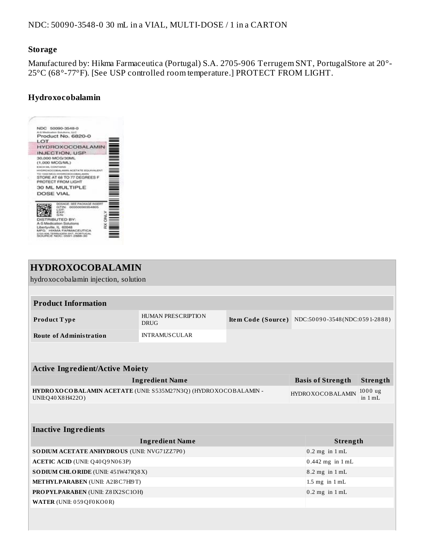#### **Storage**

Manufactured by: Hikma Farmaceutica (Portugal) S.A. 2705-906 Terrugem SNT, PortugalStore at 20°- 25°C (68°-77°F). [See USP controlled room temperature.] PROTECT FROM LIGHT.

## **Hydroxocobalamin**



| <b>HYDROXOCOBALAMIN</b>                                                                  |                                   |                    |                                                   |                          |          |  |  |  |
|------------------------------------------------------------------------------------------|-----------------------------------|--------------------|---------------------------------------------------|--------------------------|----------|--|--|--|
| hydroxocobalamin injection, solution                                                     |                                   |                    |                                                   |                          |          |  |  |  |
|                                                                                          |                                   |                    |                                                   |                          |          |  |  |  |
| <b>Product Information</b>                                                               |                                   |                    |                                                   |                          |          |  |  |  |
| <b>Product Type</b>                                                                      | HUMAN PRESCRIPTION<br><b>DRUG</b> |                    | Item Code (Source) NDC:50090-3548(NDC:0591-2888)  |                          |          |  |  |  |
| <b>Route of Administration</b>                                                           | <b>INTRAMUSCULAR</b>              |                    |                                                   |                          |          |  |  |  |
|                                                                                          |                                   |                    |                                                   |                          |          |  |  |  |
|                                                                                          |                                   |                    |                                                   |                          |          |  |  |  |
| <b>Active Ingredient/Active Moiety</b>                                                   |                                   |                    |                                                   |                          |          |  |  |  |
|                                                                                          | <b>Ingredient Name</b>            |                    |                                                   | <b>Basis of Strength</b> | Strength |  |  |  |
| HYDRO XO COBALAMIN ACETATE (UNII: S535M27N3Q) (HYDRO XOCOBALAMIN -<br>UNII:Q40 X8 H422O) |                                   |                    | $1000$ ug<br><b>HYDROXOCOBALAMIN</b><br>in $1 mL$ |                          |          |  |  |  |
|                                                                                          |                                   |                    |                                                   |                          |          |  |  |  |
| <b>Inactive Ingredients</b>                                                              |                                   |                    |                                                   |                          |          |  |  |  |
|                                                                                          |                                   | Strength           |                                                   |                          |          |  |  |  |
| SO DIUM ACETATE ANHYDROUS (UNII: NVG71ZZ7P0)                                             |                                   |                    |                                                   | $0.2$ mg in $1$ mL       |          |  |  |  |
| <b>ACETIC ACID (UNII: Q40 Q9 N063P)</b>                                                  |                                   |                    |                                                   | $0.442$ mg in $1$ mL     |          |  |  |  |
| SODIUM CHLORIDE (UNII: 451W47IQ8X)                                                       |                                   |                    |                                                   | $8.2$ mg in $1$ mL       |          |  |  |  |
| METHYLPARABEN (UNII: A218 C7H19T)                                                        |                                   | $1.5$ mg in $1$ mL |                                                   |                          |          |  |  |  |
| <b>PROPYLPARABEN (UNII: Z8IX2SC1OH)</b>                                                  |                                   | $0.2$ mg in $1$ mL |                                                   |                          |          |  |  |  |
| WATER (UNII: 059 QF0 KO0 R)                                                              |                                   |                    |                                                   |                          |          |  |  |  |
|                                                                                          |                                   |                    |                                                   |                          |          |  |  |  |